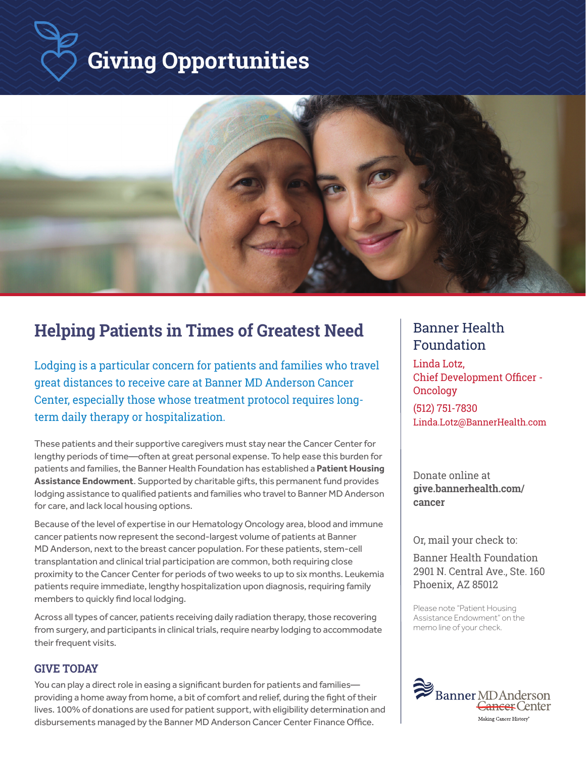# **Giving Opportunities**



### **Helping Patients in Times of Greatest Need Banner Health**

Lodging is a particular concern for patients and families who travel great distances to receive care at Banner MD Anderson Cancer Center, especially those whose treatment protocol requires longterm daily therapy or hospitalization.

These patients and their supportive caregivers must stay near the Cancer Center for lengthy periods of time—often at great personal expense. To help ease this burden for patients and families, the Banner Health Foundation has established a **Patient Housing Assistance Endowment**. Supported by charitable gifts, this permanent fund provides lodging assistance to qualified patients and families who travel to Banner MD Anderson for care, and lack local housing options.

Because of the level of expertise in our Hematology Oncology area, blood and immune cancer patients now represent the second-largest volume of patients at Banner MD Anderson, next to the breast cancer population. For these patients, stem-cell transplantation and clinical trial participation are common, both requiring close proximity to the Cancer Center for periods of two weeks to up to six months. Leukemia patients require immediate, lengthy hospitalization upon diagnosis, requiring family members to quickly find local lodging.

Across all types of cancer, patients receiving daily radiation therapy, those recovering from surgery, and participants in clinical trials, require nearby lodging to accommodate their frequent visits.

#### **GIVE TODAY**

You can play a direct role in easing a significant burden for patients and familiesproviding a home away from home, a bit of comfort and relief, during the fight of their lives. 100% of donations are used for patient support, with eligibility determination and disbursements managed by the Banner MD Anderson Cancer Center Finance Office.

# Foundation

Linda Lotz, Chief Development Officer - Oncology (512) 751-7830 Linda.Lotz@BannerHealth.com

Donate online at **give.bannerhealth.com/ cancer**

Or, mail your check to:

Banner Health Foundation 2901 N. Central Ave., Ste. 160 Phoenix, AZ 85012

Please note "Patient Housing Assistance Endowment" on the memo line of your check.

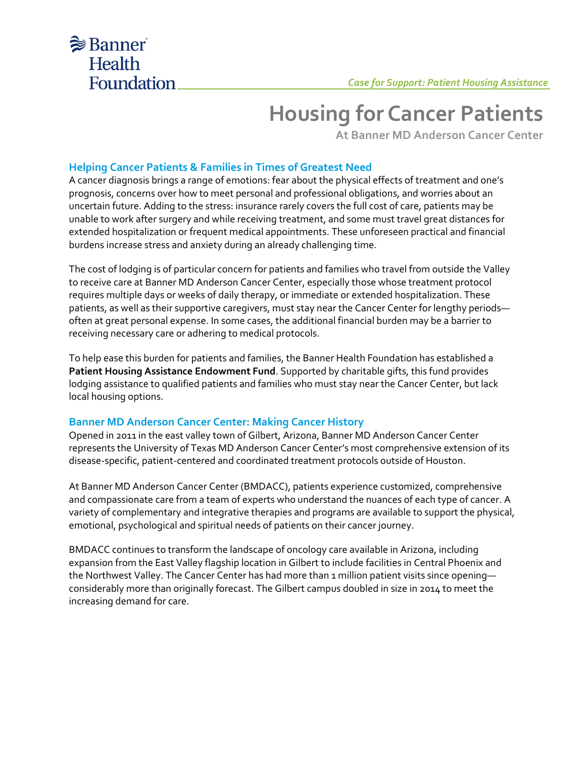

## **Housing for Cancer Patients**

**At Banner MD Anderson Cancer Center**

#### **Helping Cancer Patients & Families in Times of Greatest Need**

A cancer diagnosis brings a range of emotions: fear about the physical effects of treatment and one's prognosis, concerns over how to meet personal and professional obligations, and worries about an uncertain future. Adding to the stress: insurance rarely covers the full cost of care, patients may be unable to work after surgery and while receiving treatment, and some must travel great distances for extended hospitalization or frequent medical appointments. These unforeseen practical and financial burdens increase stress and anxiety during an already challenging time.

The cost of lodging is of particular concern for patients and families who travel from outside the Valley to receive care at Banner MD Anderson Cancer Center, especially those whose treatment protocol requires multiple days or weeks of daily therapy, or immediate or extended hospitalization. These patients, as well as their supportive caregivers, must stay near the Cancer Center for lengthy periods often at great personal expense. In some cases, the additional financial burden may be a barrier to receiving necessary care or adhering to medical protocols.

To help ease this burden for patients and families, the Banner Health Foundation has established a **Patient Housing Assistance Endowment Fund**. Supported by charitable gifts, this fund provides lodging assistance to qualified patients and families who must stay near the Cancer Center, but lack local housing options.

#### **Banner MD Anderson Cancer Center: Making Cancer History**

Opened in 2011 in the east valley town of Gilbert, Arizona, Banner MD Anderson Cancer Center represents the University of Texas MD Anderson Cancer Center's most comprehensive extension of its disease-specific, patient-centered and coordinated treatment protocols outside of Houston.

At Banner MD Anderson Cancer Center (BMDACC), patients experience customized, comprehensive and compassionate care from a team of experts who understand the nuances of each type of cancer. A variety of complementary and integrative therapies and programs are available to support the physical, emotional, psychological and spiritual needs of patients on their cancer journey.

BMDACC continues to transform the landscape of oncology care available in Arizona, including expansion from the East Valley flagship location in Gilbert to include facilities in Central Phoenix and the Northwest Valley. The Cancer Center has had more than 1 million patient visits since openingconsiderably more than originally forecast. The Gilbert campus doubled in size in 2014 to meet the increasing demand for care.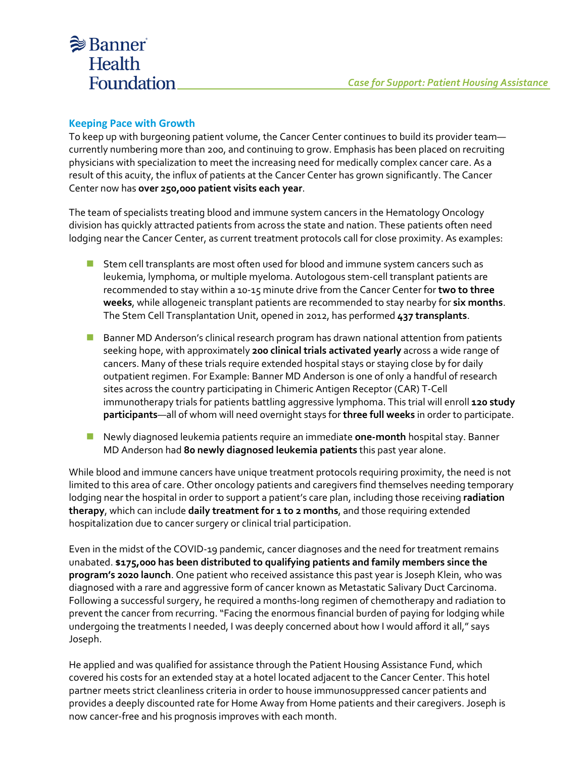### **Banner Health** Foundation

#### **Keeping Pace with Growth**

To keep up with burgeoning patient volume, the Cancer Center continues to build its provider team currently numbering more than 200, and continuing to grow. Emphasis has been placed on recruiting physicians with specialization to meet the increasing need for medically complex cancer care. As a result of this acuity, the influx of patients at the Cancer Center has grown significantly. The Cancer Center now has **over 250,000 patient visits each year**.

The team of specialists treating blood and immune system cancers in the Hematology Oncology division has quickly attracted patients from across the state and nation. These patients often need lodging near the Cancer Center, as current treatment protocols call for close proximity. As examples:

- Stem cell transplants are most often used for blood and immune system cancers such as leukemia, lymphoma, or multiple myeloma. Autologous stem-cell transplant patients are recommended to stay within a 10-15 minute drive from the Cancer Center for **two to three weeks**, while allogeneic transplant patients are recommended to stay nearby for **six months**. The Stem Cell Transplantation Unit, opened in 2012, has performed **437 transplants**.
- Banner MD Anderson's clinical research program has drawn national attention from patients seeking hope, with approximately **200 clinical trials activated yearly** across a wide range of cancers. Many of these trials require extended hospital stays or staying close by for daily outpatient regimen. For Example: Banner MD Anderson is one of only a handful of research sites across the country participating in Chimeric Antigen Receptor (CAR) T-Cell immunotherapy trials for patients battling aggressive lymphoma. This trial will enroll **120 study participants**—all of whom will need overnight stays for **three full weeks** in order to participate.
- ◼ Newly diagnosed leukemia patients require an immediate **one-month** hospital stay. Banner MD Anderson had **80 newly diagnosed leukemia patients** this past year alone.

While blood and immune cancers have unique treatment protocols requiring proximity, the need is not limited to this area of care. Other oncology patients and caregivers find themselves needing temporary lodging near the hospital in order to support a patient's care plan, including those receiving **radiation therapy**, which can include **daily treatment for 1 to 2 months**, and those requiring extended hospitalization due to cancer surgery or clinical trial participation.

Even in the midst of the COVID-19 pandemic, cancer diagnoses and the need for treatment remains unabated. **\$175,000 has been distributed to qualifying patients and family members since the program's 2020 launch**. One patient who received assistance this past year is Joseph Klein, who was diagnosed with a rare and aggressive form of cancer known as Metastatic Salivary Duct Carcinoma. Following a successful surgery, he required a months-long regimen of chemotherapy and radiation to prevent the cancer from recurring. "Facing the enormous financial burden of paying for lodging while undergoing the treatments I needed, I was deeply concerned about how I would afford it all," says Joseph.

He applied and was qualified for assistance through the Patient Housing Assistance Fund, which covered his costs for an extended stay at a hotel located adjacent to the Cancer Center. This hotel partner meets strict cleanliness criteria in order to house immunosuppressed cancer patients and provides a deeply discounted rate for Home Away from Home patients and their caregivers. Joseph is now cancer-free and his prognosis improves with each month.